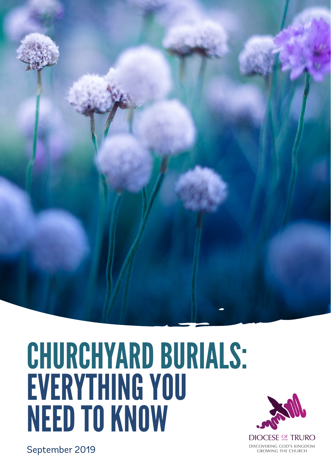

# CHURCHYARD BURIALS: EVERYTHING YOU NEED TO KNOW



September 2019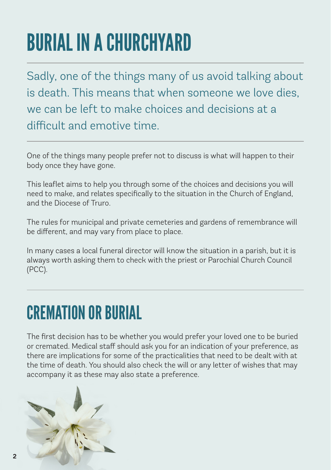## BURIAL IN A CHURCHYARD

Sadly, one of the things many of us avoid talking about is death. This means that when someone we love dies, we can be left to make choices and decisions at a difficult and emotive time.

One of the things many people prefer not to discuss is what will happen to their body once they have gone.

This leaflet aims to help you through some of the choices and decisions you will need to make, and relates specifically to the situation in the Church of England, and the Diocese of Truro.

The rules for municipal and private cemeteries and gardens of remembrance will be different, and may vary from place to place.

In many cases a local funeral director will know the situation in a parish, but it is always worth asking them to check with the priest or Parochial Church Council (PCC).

#### CREMATION OR BURIAL

The first decision has to be whether you would prefer your loved one to be buried or cremated. Medical staff should ask you for an indication of your preference, as there are implications for some of the practicalities that need to be dealt with at the time of death. You should also check the will or any letter of wishes that may accompany it as these may also state a preference.

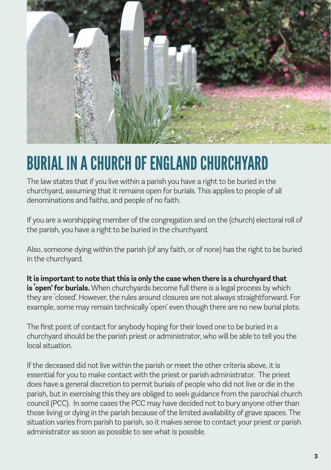

#### BURIAL IN A CHURCH OF ENGLAND CHURCHYARD

The law states that if you live within a parish you have a right to be buried in the churchyard, assuming that it remains open for burials. This applies to people of all denominations and faiths, and people of no faith.

If you are a worshipping member of the congregation and on the (church) electoral roll of the parish, you have a right to be buried in the churchyard.

Also, someone dying within the parish (of any faith, or of none) has the right to be buried in the churchyard.

**It is important to note that this is only the case when there is a churchyard that is 'open' for burials.** When churchyards become full there is a legal process by which they are 'closed'. However, the rules around closures are not always straightforward. For example, some may remain technically 'open' even though there are no new burial plots.

The first point of contact for anybody hoping for their loved one to be buried in a churchyard should be the parish priest or administrator, who will be able to tell you the local situation.

If the deceased did not live within the parish or meet the other criteria above, it is essential for you to make contact with the priest or parish administrator. The priest does have a general discretion to permit burials of people who did not live or die in the parish, but in exercising this they are obliged to seek guidance from the parochial church council (PCC). In some cases the PCC may have decided not to bury anyone other than those living or dying in the parish because of the limited availability of grave spaces. The situation varies from parish to parish, so it makes sense to contact your priest or parish administrator as soon as possible to see what is possible.